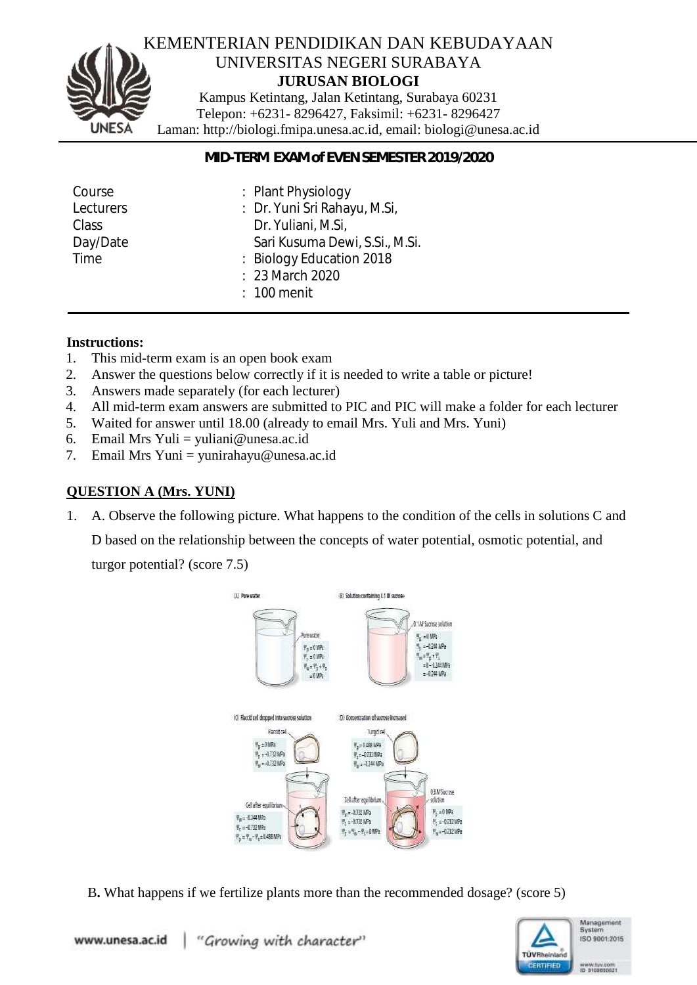

#### KEMENTERIAN PENDIDIKAN DAN KEBUDAYAAN UNIVERSITAS NEGERI SURABAYA **JURUSAN BIOLOGI**

Kampus Ketintang, Jalan Ketintang, Surabaya 60231 Telepon: +6231- 8296427, Faksimil: +6231- 8296427 Laman: http://biologi.fmipa.unesa.ac.id, email: [biologi@unesa.ac.id](mailto:biologi@unesa.ac.id)

#### *MID-TERM EXAM of EVEN SEMESTER 2019/2020*

| Course       | : Plant Physiology             |
|--------------|--------------------------------|
| Lecturers    | : Dr. Yuni Sri Rahayu, M.Si,   |
| <b>Class</b> | Dr. Yuliani, M.Si,             |
| Day/Date     | Sari Kusuma Dewi, S.Si., M.Si. |
| Time         | : Biology Education 2018       |
|              | : 23 March 2020                |
|              | $: 100$ menit                  |

#### **Instructions:**

- 1. This mid-term exam is an open book exam
- 2. Answer the questions below correctly if it is needed to write a table or picture!
- 3. Answers made separately (for each lecturer)
- 4. All mid-term exam answers are submitted to PIC and PIC will make a folder for each lecturer
- 5. Waited for answer until 18.00 (already to email Mrs. Yuli and Mrs. Yuni)
- 6. Email Mrs Yuli = yuliani@unesa.ac.id
- 7. Email Mrs Yuni = yunirahayu@unesa.ac.id

# **QUESTION A (Mrs. YUNI)**

1. A. Observe the following picture. What happens to the condition of the cells in solutions C and

D based on the relationship between the concepts of water potential, osmotic potential, and

turgor potential? (score 7.5)



B**.** What happens if we fertilize plants more than the recommended dosage? (score 5)

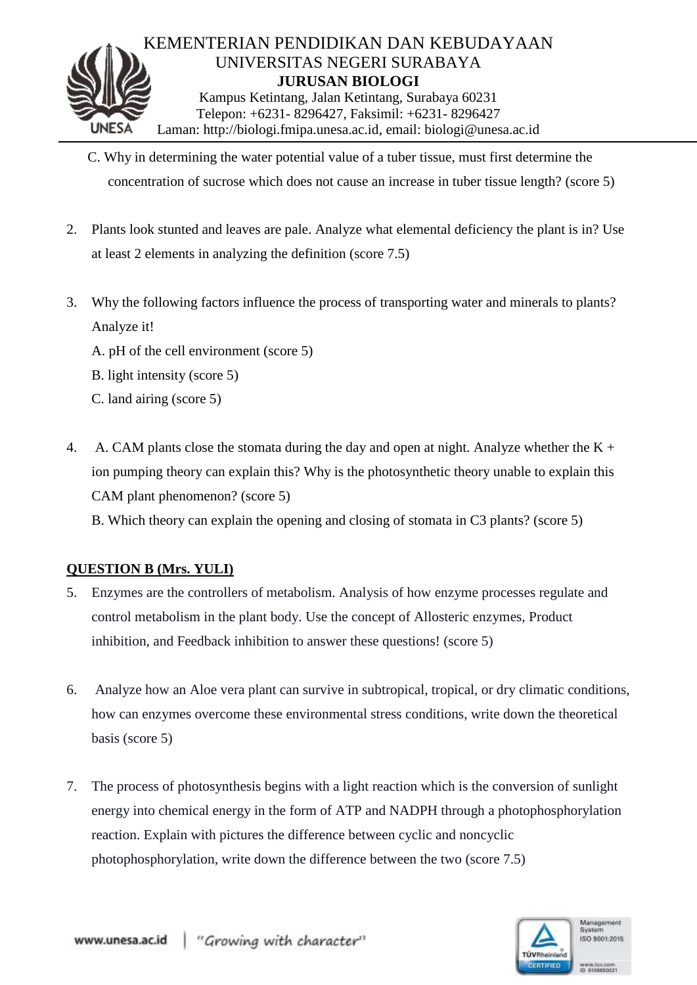

- C. Why in determining the water potential value of a tuber tissue, must first determine the concentration of sucrose which does not cause an increase in tuber tissue length? (score 5)
- 2. Plants look stunted and leaves are pale. Analyze what elemental deficiency the plant is in? Use at least 2 elements in analyzing the definition (score 7.5)
- 3. Why the following factors influence the process of transporting water and minerals to plants? Analyze it!
	- A. pH of the cell environment (score 5)
	- B. light intensity (score 5)
	- C. land airing (score 5)
- 4. A. CAM plants close the stomata during the day and open at night. Analyze whether the  $K +$ ion pumping theory can explain this? Why is the photosynthetic theory unable to explain this CAM plant phenomenon? (score 5)

B. Which theory can explain the opening and closing of stomata in C3 plants? (score 5)

#### **QUESTION B (Mrs. YULI)**

- 5. Enzymes are the controllers of metabolism. Analysis of how enzyme processes regulate and control metabolism in the plant body. Use the concept of Allosteric enzymes, Product inhibition, and Feedback inhibition to answer these questions! (score 5)
- 6. Analyze how an Aloe vera plant can survive in subtropical, tropical, or dry climatic conditions, how can enzymes overcome these environmental stress conditions, write down the theoretical basis (score 5)
- 7. The process of photosynthesis begins with a light reaction which is the conversion of sunlight energy into chemical energy in the form of ATP and NADPH through a photophosphorylation reaction. Explain with pictures the difference between cyclic and noncyclic photophosphorylation, write down the difference between the two (score 7.5)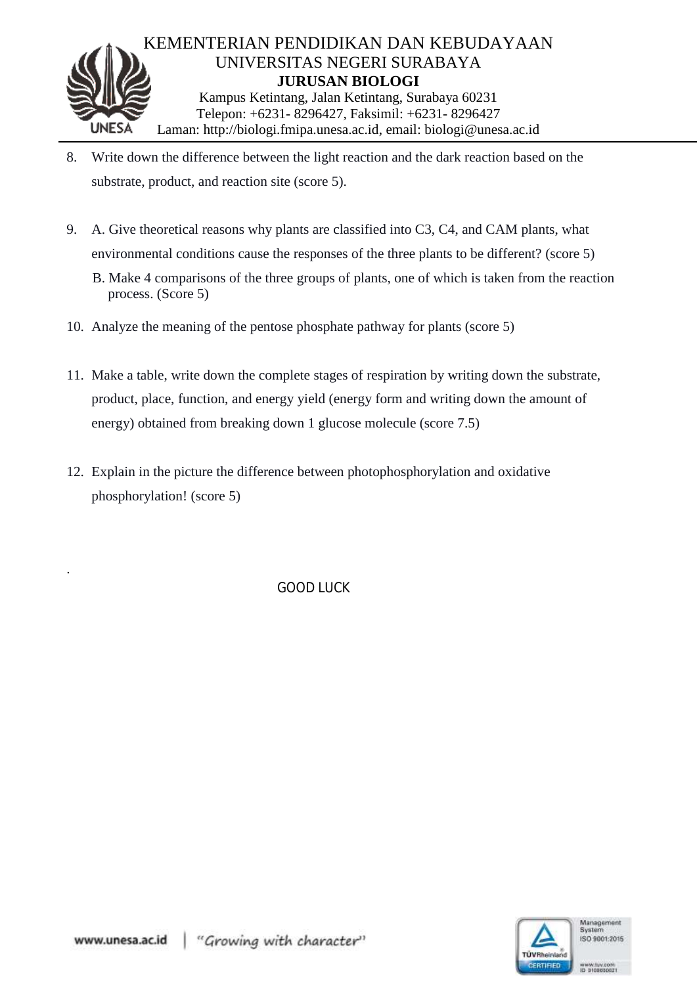

- 8. Write down the difference between the light reaction and the dark reaction based on the substrate, product, and reaction site (score 5).
- 9. A. Give theoretical reasons why plants are classified into C3, C4, and CAM plants, what environmental conditions cause the responses of the three plants to be different? (score 5)
	- B. Make 4 comparisons of the three groups of plants, one of which is taken from the reaction process. (Score 5)
- 10. Analyze the meaning of the pentose phosphate pathway for plants (score 5)
- 11. Make a table, write down the complete stages of respiration by writing down the substrate, product, place, function, and energy yield (energy form and writing down the amount of energy) obtained from breaking down 1 glucose molecule (score 7.5)
- 12. Explain in the picture the difference between photophosphorylation and oxidative phosphorylation! (score 5)

GOOD LUCK



.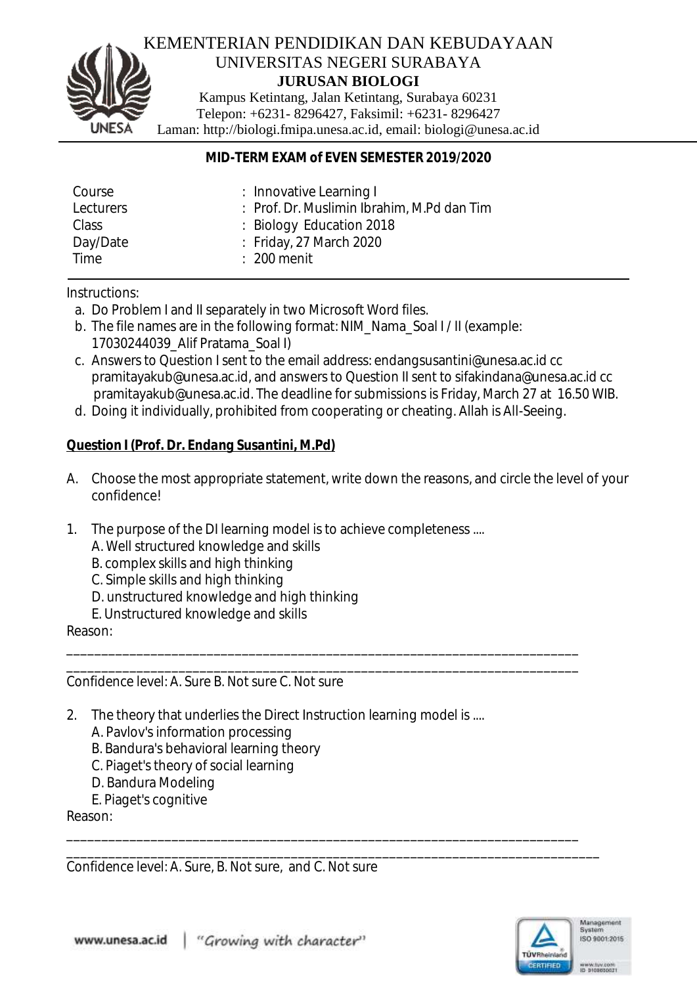

## KEMENTERIAN PENDIDIKAN DAN KEBUDAYAAN UNIVERSITAS NEGERI SURABAYA **JURUSAN BIOLOGI**

Kampus Ketintang, Jalan Ketintang, Surabaya 60231 Telepon: +6231- 8296427, Faksimil: +6231- 8296427 Laman: http://biologi.fmipa.unesa.ac.id, email: [biologi@unesa.ac.id](mailto:biologi@unesa.ac.id)

## *MID-TERM EXAM of EVEN SEMESTER 2019/2020*

| Course    | : Innovative Learning I                    |
|-----------|--------------------------------------------|
| Lecturers | : Prof. Dr. Muslimin Ibrahim, M.Pd dan Tim |
| Class     | $\therefore$ Biology Education 2018        |
| Day/Date  | $\therefore$ Friday, 27 March 2020         |
| Time      | $\div$ 200 menit                           |
|           |                                            |

Instructions:

- a. Do Problem I and II separately in two Microsoft Word files.
- b. The file names are in the following format: NIM\_Nama\_Soal I / II (example: 17030244039\_Alif Pratama\_Soal I)
- c. Answers to Question I sent to the email address: endangsusantini@unesa.ac.id cc pramitayakub@unesa.ac.id, and answers to Question II sent to sifakindana@unesa.ac.id cc pramitayakub@unesa.ac.id. The deadline for submissions is Friday, March 27 at 16.50 WIB.
- d. Doing it individually, prohibited from cooperating or cheating. Allah is All-Seeing.

\_\_\_\_\_\_\_\_\_\_\_\_\_\_\_\_\_\_\_\_\_\_\_\_\_\_\_\_\_\_\_\_\_\_\_\_\_\_\_\_\_\_\_\_\_\_\_\_\_\_\_\_\_\_\_\_\_\_\_\_\_\_\_\_\_\_\_\_\_\_\_\_\_ \_\_\_\_\_\_\_\_\_\_\_\_\_\_\_\_\_\_\_\_\_\_\_\_\_\_\_\_\_\_\_\_\_\_\_\_\_\_\_\_\_\_\_\_\_\_\_\_\_\_\_\_\_\_\_\_\_\_\_\_\_\_\_\_\_\_\_\_\_\_\_\_\_

\_\_\_\_\_\_\_\_\_\_\_\_\_\_\_\_\_\_\_\_\_\_\_\_\_\_\_\_\_\_\_\_\_\_\_\_\_\_\_\_\_\_\_\_\_\_\_\_\_\_\_\_\_\_\_\_\_\_\_\_\_\_\_\_\_\_\_\_\_\_\_\_\_

## *Question I (Prof. Dr. Endang Susantini, M.Pd)*

- A. Choose the most appropriate statement, write down the reasons, and circle the level of your confidence!
- 1. The purpose of the DI learning model is to achieve completeness ....
	- A. Well structured knowledge and skills
	- B. complex skills and high thinking
	- C. Simple skills and high thinking
	- D. unstructured knowledge and high thinking
	- E. Unstructured knowledge and skills

Reason:

Confidence level: A. Sure B. Not sure C. Not sure

- 2. The theory that underlies the Direct Instruction learning model is ....
	- A. Pavlov's information processing
	- B. Bandura's behavioral learning theory
	- C. Piaget's theory of social learning
	- D. Bandura Modeling
	- E. Piaget's cognitive

Reason:

\_\_\_\_\_\_\_\_\_\_\_\_\_\_\_\_\_\_\_\_\_\_\_\_\_\_\_\_\_\_\_\_\_\_\_\_\_\_\_\_\_\_\_\_\_\_\_\_\_\_\_\_\_\_\_\_\_\_\_\_\_\_\_\_\_\_\_\_\_\_\_\_\_\_\_\_ Confidence level: A. Sure, B. Not sure, and C. Not sure

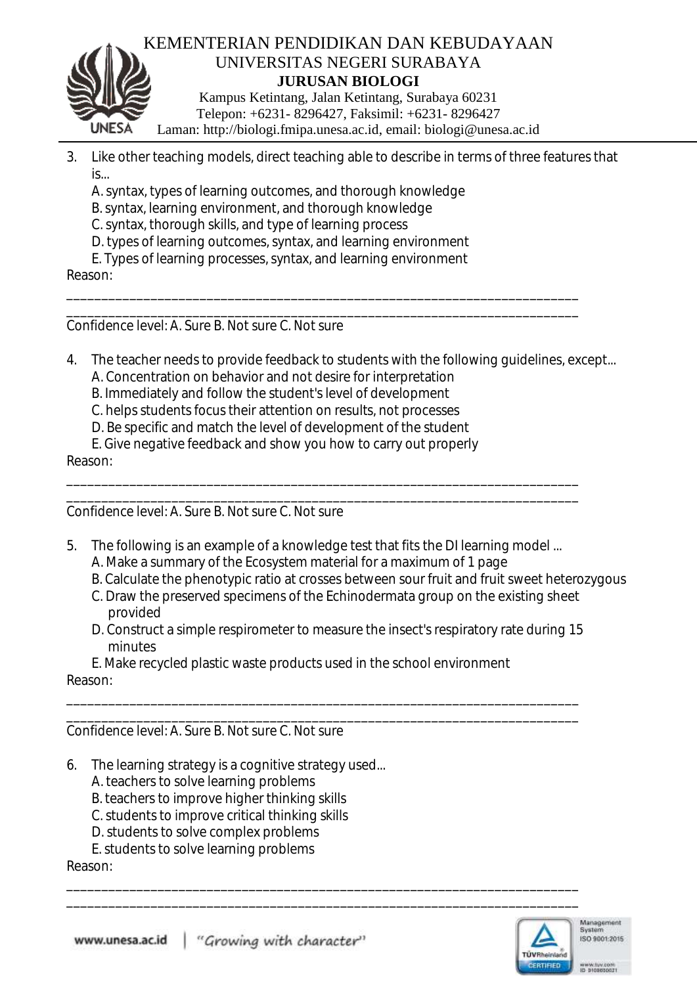

- 3. Like other teaching models, direct teaching able to describe in terms of three features that  $is...$ 
	- A. syntax, types of learning outcomes, and thorough knowledge
	- B. syntax, learning environment, and thorough knowledge
	- C. syntax, thorough skills, and type of learning process
	- D. types of learning outcomes, syntax, and learning environment
	- E. Types of learning processes, syntax, and learning environment

Reason:

\_\_\_\_\_\_\_\_\_\_\_\_\_\_\_\_\_\_\_\_\_\_\_\_\_\_\_\_\_\_\_\_\_\_\_\_\_\_\_\_\_\_\_\_\_\_\_\_\_\_\_\_\_\_\_\_\_\_\_\_\_\_\_\_\_\_\_\_\_\_\_\_\_ Confidence level: A. Sure B. Not sure C. Not sure

4. The teacher needs to provide feedback to students with the following guidelines, except...

\_\_\_\_\_\_\_\_\_\_\_\_\_\_\_\_\_\_\_\_\_\_\_\_\_\_\_\_\_\_\_\_\_\_\_\_\_\_\_\_\_\_\_\_\_\_\_\_\_\_\_\_\_\_\_\_\_\_\_\_\_\_\_\_\_\_\_\_\_\_\_\_\_

- A. Concentration on behavior and not desire for interpretation
- B. Immediately and follow the student's level of development
- C. helps students focus their attention on results, not processes
- D. Be specific and match the level of development of the student
- E. Give negative feedback and show you how to carry out properly

Reason:

\_\_\_\_\_\_\_\_\_\_\_\_\_\_\_\_\_\_\_\_\_\_\_\_\_\_\_\_\_\_\_\_\_\_\_\_\_\_\_\_\_\_\_\_\_\_\_\_\_\_\_\_\_\_\_\_\_\_\_\_\_\_\_\_\_\_\_\_\_\_\_\_\_ Confidence level: A. Sure B. Not sure C. Not sure

5. The following is an example of a knowledge test that fits the DI learning model ...

\_\_\_\_\_\_\_\_\_\_\_\_\_\_\_\_\_\_\_\_\_\_\_\_\_\_\_\_\_\_\_\_\_\_\_\_\_\_\_\_\_\_\_\_\_\_\_\_\_\_\_\_\_\_\_\_\_\_\_\_\_\_\_\_\_\_\_\_\_\_\_\_\_

- A. Make a summary of the Ecosystem material for a maximum of 1 page
- B. Calculate the phenotypic ratio at crosses between sour fruit and fruit sweet heterozygous
- C. Draw the preserved specimens of the Echinodermata group on the existing sheet provided
- D. Construct a simple respirometer to measure the insect's respiratory rate during 15 minutes

\_\_\_\_\_\_\_\_\_\_\_\_\_\_\_\_\_\_\_\_\_\_\_\_\_\_\_\_\_\_\_\_\_\_\_\_\_\_\_\_\_\_\_\_\_\_\_\_\_\_\_\_\_\_\_\_\_\_\_\_\_\_\_\_\_\_\_\_\_\_\_\_\_

\_\_\_\_\_\_\_\_\_\_\_\_\_\_\_\_\_\_\_\_\_\_\_\_\_\_\_\_\_\_\_\_\_\_\_\_\_\_\_\_\_\_\_\_\_\_\_\_\_\_\_\_\_\_\_\_\_\_\_\_\_\_\_\_\_\_\_\_\_\_\_\_\_ \_\_\_\_\_\_\_\_\_\_\_\_\_\_\_\_\_\_\_\_\_\_\_\_\_\_\_\_\_\_\_\_\_\_\_\_\_\_\_\_\_\_\_\_\_\_\_\_\_\_\_\_\_\_\_\_\_\_\_\_\_\_\_\_\_\_\_\_\_\_\_\_\_

E. Make recycled plastic waste products used in the school environment Reason:

\_\_\_\_\_\_\_\_\_\_\_\_\_\_\_\_\_\_\_\_\_\_\_\_\_\_\_\_\_\_\_\_\_\_\_\_\_\_\_\_\_\_\_\_\_\_\_\_\_\_\_\_\_\_\_\_\_\_\_\_\_\_\_\_\_\_\_\_\_\_\_\_\_ Confidence level: A. Sure B. Not sure C. Not sure

- 6. The learning strategy is a cognitive strategy used...
	- A. teachers to solve learning problems
	- B. teachers to improve higher thinking skills
	- C. students to improve critical thinking skills
	- D. students to solve complex problems
	- E. students to solve learning problems

Reason:

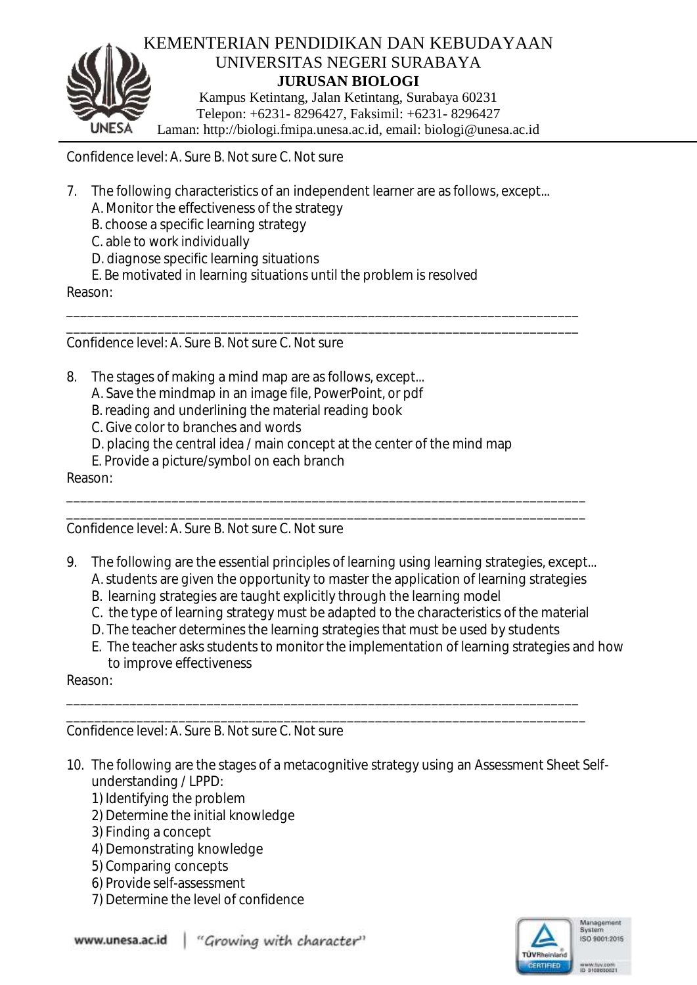

Confidence level: A. Sure B. Not sure C. Not sure

7. The following characteristics of an independent learner are as follows, except...

\_\_\_\_\_\_\_\_\_\_\_\_\_\_\_\_\_\_\_\_\_\_\_\_\_\_\_\_\_\_\_\_\_\_\_\_\_\_\_\_\_\_\_\_\_\_\_\_\_\_\_\_\_\_\_\_\_\_\_\_\_\_\_\_\_\_\_\_\_\_\_\_\_ \_\_\_\_\_\_\_\_\_\_\_\_\_\_\_\_\_\_\_\_\_\_\_\_\_\_\_\_\_\_\_\_\_\_\_\_\_\_\_\_\_\_\_\_\_\_\_\_\_\_\_\_\_\_\_\_\_\_\_\_\_\_\_\_\_\_\_\_\_\_\_\_\_

- A. Monitor the effectiveness of the strategy
- B. choose a specific learning strategy
- C. able to work individually
- D. diagnose specific learning situations
- E. Be motivated in learning situations until the problem is resolved

Reason:

Confidence level: A. Sure B. Not sure C. Not sure

- 8. The stages of making a mind map are as follows, except...
	- A. Save the mindmap in an image file, PowerPoint, or pdf
	- B. reading and underlining the material reading book
	- C. Give color to branches and words
	- D. placing the central idea / main concept at the center of the mind map
	- E. Provide a picture/symbol on each branch

Reason:

\_\_\_\_\_\_\_\_\_\_\_\_\_\_\_\_\_\_\_\_\_\_\_\_\_\_\_\_\_\_\_\_\_\_\_\_\_\_\_\_\_\_\_\_\_\_\_\_\_\_\_\_\_\_\_\_\_\_\_\_\_\_\_\_\_\_\_\_\_\_\_\_\_\_ Confidence level: A. Sure B. Not sure C. Not sure

9. The following are the essential principles of learning using learning strategies, except...

\_\_\_\_\_\_\_\_\_\_\_\_\_\_\_\_\_\_\_\_\_\_\_\_\_\_\_\_\_\_\_\_\_\_\_\_\_\_\_\_\_\_\_\_\_\_\_\_\_\_\_\_\_\_\_\_\_\_\_\_\_\_\_\_\_\_\_\_\_\_\_\_\_\_

- A. students are given the opportunity to master the application of learning strategies
- B. learning strategies are taught explicitly through the learning model
- C. the type of learning strategy must be adapted to the characteristics of the material
- D. The teacher determines the learning strategies that must be used by students

\_\_\_\_\_\_\_\_\_\_\_\_\_\_\_\_\_\_\_\_\_\_\_\_\_\_\_\_\_\_\_\_\_\_\_\_\_\_\_\_\_\_\_\_\_\_\_\_\_\_\_\_\_\_\_\_\_\_\_\_\_\_\_\_\_\_\_\_\_\_\_\_\_ \_\_\_\_\_\_\_\_\_\_\_\_\_\_\_\_\_\_\_\_\_\_\_\_\_\_\_\_\_\_\_\_\_\_\_\_\_\_\_\_\_\_\_\_\_\_\_\_\_\_\_\_\_\_\_\_\_\_\_\_\_\_\_\_\_\_\_\_\_\_\_\_\_\_

E. The teacher asks students to monitor the implementation of learning strategies and how to improve effectiveness

Reason:

Confidence level: A. Sure B. Not sure C. Not sure

- 10. The following are the stages of a metacognitive strategy using an Assessment Sheet Selfunderstanding / LPPD:
	- 1) Identifying the problem
	- 2) Determine the initial knowledge
	- 3) Finding a concept
	- 4) Demonstrating knowledge
	- 5) Comparing concepts
	- 6) Provide self-assessment
	- 7) Determine the level of confidence

www.unesa.ac.id "Growing with character"

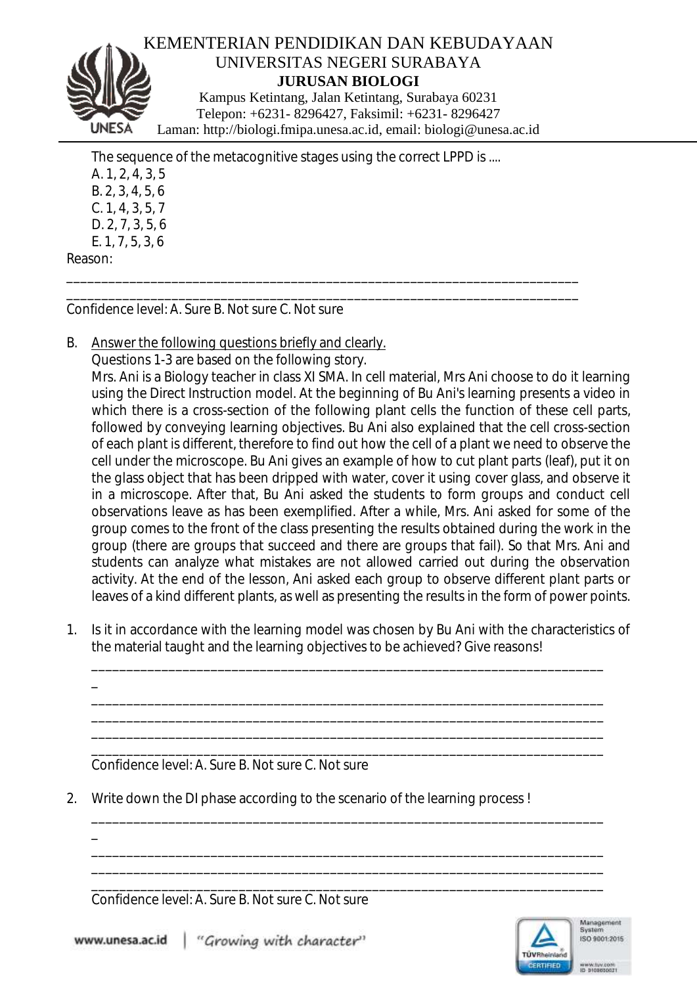

The sequence of the metacognitive stages using the correct LPPD is .... A. 1, 2, 4, 3, 5 B. 2, 3, 4, 5, 6 C. 1, 4, 3, 5, 7 D. 2, 7, 3, 5, 6 E. 1, 7, 5, 3, 6 Reason:

\_\_\_\_\_\_\_\_\_\_\_\_\_\_\_\_\_\_\_\_\_\_\_\_\_\_\_\_\_\_\_\_\_\_\_\_\_\_\_\_\_\_\_\_\_\_\_\_\_\_\_\_\_\_\_\_\_\_\_\_\_\_\_\_\_\_\_\_\_\_\_\_\_

\_\_\_\_\_\_\_\_\_\_\_\_\_\_\_\_\_\_\_\_\_\_\_\_\_\_\_\_\_\_\_\_\_\_\_\_\_\_\_\_\_\_\_\_\_\_\_\_\_\_\_\_\_\_\_\_\_\_\_\_\_\_\_\_\_\_\_\_\_\_\_\_\_ Confidence level: A. Sure B. Not sure C. Not sure

B. Answer the following questions briefly and clearly.

Questions 1-3 are based on the following story. Mrs. Ani is a Biology teacher in class XI SMA. In cell material, Mrs Ani choose to do it learning using the Direct Instruction model. At the beginning of Bu Ani's learning presents a video in which there is a cross-section of the following plant cells the function of these cell parts, followed by conveying learning objectives. Bu Ani also explained that the cell cross-section of each plant is different, therefore to find out how the cell of a plant we need to observe the cell under the microscope. Bu Ani gives an example of how to cut plant parts (leaf), put it on the glass object that has been dripped with water, cover it using cover glass, and observe it in a microscope. After that, Bu Ani asked the students to form groups and conduct cell observations leave as has been exemplified. After a while, Mrs. Ani asked for some of the group comes to the front of the class presenting the results obtained during the work in the group (there are groups that succeed and there are groups that fail). So that Mrs. Ani and students can analyze what mistakes are not allowed carried out during the observation activity. At the end of the lesson, Ani asked each group to observe different plant parts or leaves of a kind different plants, as well as presenting the results in the form of power points.

1. Is it in accordance with the learning model was chosen by Bu Ani with the characteristics of the material taught and the learning objectives to be achieved? Give reasons!

\_\_\_\_\_\_\_\_\_\_\_\_\_\_\_\_\_\_\_\_\_\_\_\_\_\_\_\_\_\_\_\_\_\_\_\_\_\_\_\_\_\_\_\_\_\_\_\_\_\_\_\_\_\_\_\_\_\_\_\_\_\_\_\_\_\_\_\_\_\_\_\_\_

\_\_\_\_\_\_\_\_\_\_\_\_\_\_\_\_\_\_\_\_\_\_\_\_\_\_\_\_\_\_\_\_\_\_\_\_\_\_\_\_\_\_\_\_\_\_\_\_\_\_\_\_\_\_\_\_\_\_\_\_\_\_\_\_\_\_\_\_\_\_\_\_\_ \_\_\_\_\_\_\_\_\_\_\_\_\_\_\_\_\_\_\_\_\_\_\_\_\_\_\_\_\_\_\_\_\_\_\_\_\_\_\_\_\_\_\_\_\_\_\_\_\_\_\_\_\_\_\_\_\_\_\_\_\_\_\_\_\_\_\_\_\_\_\_\_\_ \_\_\_\_\_\_\_\_\_\_\_\_\_\_\_\_\_\_\_\_\_\_\_\_\_\_\_\_\_\_\_\_\_\_\_\_\_\_\_\_\_\_\_\_\_\_\_\_\_\_\_\_\_\_\_\_\_\_\_\_\_\_\_\_\_\_\_\_\_\_\_\_\_ \_\_\_\_\_\_\_\_\_\_\_\_\_\_\_\_\_\_\_\_\_\_\_\_\_\_\_\_\_\_\_\_\_\_\_\_\_\_\_\_\_\_\_\_\_\_\_\_\_\_\_\_\_\_\_\_\_\_\_\_\_\_\_\_\_\_\_\_\_\_\_\_\_

\_\_\_\_\_\_\_\_\_\_\_\_\_\_\_\_\_\_\_\_\_\_\_\_\_\_\_\_\_\_\_\_\_\_\_\_\_\_\_\_\_\_\_\_\_\_\_\_\_\_\_\_\_\_\_\_\_\_\_\_\_\_\_\_\_\_\_\_\_\_\_\_\_

\_\_\_\_\_\_\_\_\_\_\_\_\_\_\_\_\_\_\_\_\_\_\_\_\_\_\_\_\_\_\_\_\_\_\_\_\_\_\_\_\_\_\_\_\_\_\_\_\_\_\_\_\_\_\_\_\_\_\_\_\_\_\_\_\_\_\_\_\_\_\_\_\_ \_\_\_\_\_\_\_\_\_\_\_\_\_\_\_\_\_\_\_\_\_\_\_\_\_\_\_\_\_\_\_\_\_\_\_\_\_\_\_\_\_\_\_\_\_\_\_\_\_\_\_\_\_\_\_\_\_\_\_\_\_\_\_\_\_\_\_\_\_\_\_\_\_ \_\_\_\_\_\_\_\_\_\_\_\_\_\_\_\_\_\_\_\_\_\_\_\_\_\_\_\_\_\_\_\_\_\_\_\_\_\_\_\_\_\_\_\_\_\_\_\_\_\_\_\_\_\_\_\_\_\_\_\_\_\_\_\_\_\_\_\_\_\_\_\_\_

Confidence level: A. Sure B. Not sure C. Not sure

\_

\_

2. Write down the DI phase according to the scenario of the learning process !

Confidence level: A. Sure B. Not sure C. Not sure

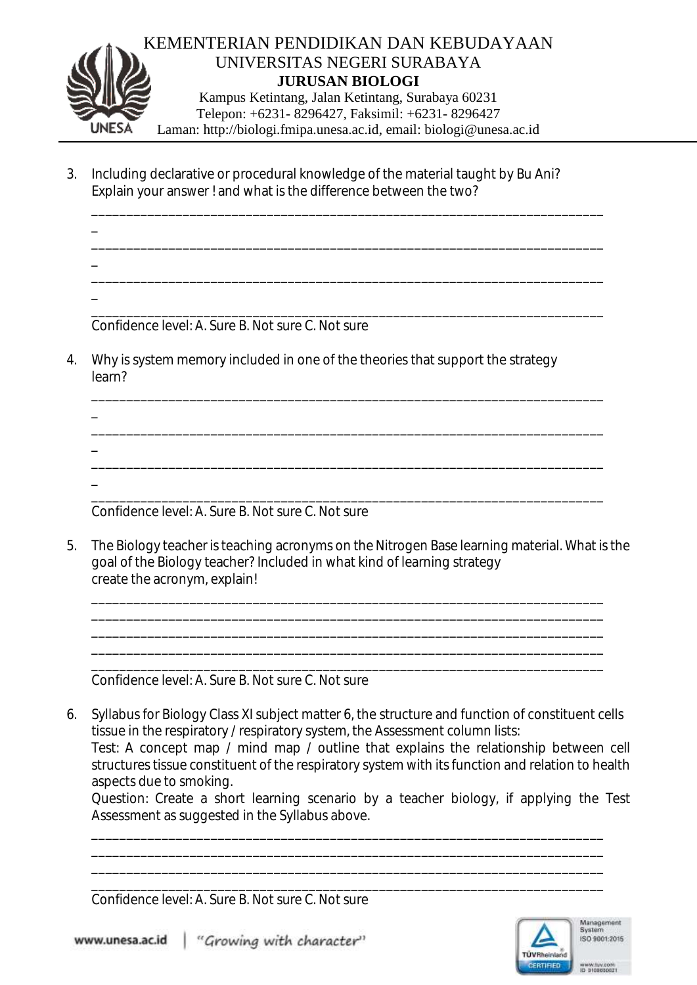

3. Including declarative or procedural knowledge of the material taught by Bu Ani? Explain your answer ! and what is the difference between the two?

\_\_\_\_\_\_\_\_\_\_\_\_\_\_\_\_\_\_\_\_\_\_\_\_\_\_\_\_\_\_\_\_\_\_\_\_\_\_\_\_\_\_\_\_\_\_\_\_\_\_\_\_\_\_\_\_\_\_\_\_\_\_\_\_\_\_\_\_\_\_\_\_\_

\_\_\_\_\_\_\_\_\_\_\_\_\_\_\_\_\_\_\_\_\_\_\_\_\_\_\_\_\_\_\_\_\_\_\_\_\_\_\_\_\_\_\_\_\_\_\_\_\_\_\_\_\_\_\_\_\_\_\_\_\_\_\_\_\_\_\_\_\_\_\_\_\_

\_\_\_\_\_\_\_\_\_\_\_\_\_\_\_\_\_\_\_\_\_\_\_\_\_\_\_\_\_\_\_\_\_\_\_\_\_\_\_\_\_\_\_\_\_\_\_\_\_\_\_\_\_\_\_\_\_\_\_\_\_\_\_\_\_\_\_\_\_\_\_\_\_

\_\_\_\_\_\_\_\_\_\_\_\_\_\_\_\_\_\_\_\_\_\_\_\_\_\_\_\_\_\_\_\_\_\_\_\_\_\_\_\_\_\_\_\_\_\_\_\_\_\_\_\_\_\_\_\_\_\_\_\_\_\_\_\_\_\_\_\_\_\_\_\_\_

\_\_\_\_\_\_\_\_\_\_\_\_\_\_\_\_\_\_\_\_\_\_\_\_\_\_\_\_\_\_\_\_\_\_\_\_\_\_\_\_\_\_\_\_\_\_\_\_\_\_\_\_\_\_\_\_\_\_\_\_\_\_\_\_\_\_\_\_\_\_\_\_\_

\_\_\_\_\_\_\_\_\_\_\_\_\_\_\_\_\_\_\_\_\_\_\_\_\_\_\_\_\_\_\_\_\_\_\_\_\_\_\_\_\_\_\_\_\_\_\_\_\_\_\_\_\_\_\_\_\_\_\_\_\_\_\_\_\_\_\_\_\_\_\_\_\_

\_\_\_\_\_\_\_\_\_\_\_\_\_\_\_\_\_\_\_\_\_\_\_\_\_\_\_\_\_\_\_\_\_\_\_\_\_\_\_\_\_\_\_\_\_\_\_\_\_\_\_\_\_\_\_\_\_\_\_\_\_\_\_\_\_\_\_\_\_\_\_\_\_ Confidence level: A. Sure B. Not sure C. Not sure

\_

\_

\_

\_

\_

\_

4. Why is system memory included in one of the theories that support the strategy learn?

\_\_\_\_\_\_\_\_\_\_\_\_\_\_\_\_\_\_\_\_\_\_\_\_\_\_\_\_\_\_\_\_\_\_\_\_\_\_\_\_\_\_\_\_\_\_\_\_\_\_\_\_\_\_\_\_\_\_\_\_\_\_\_\_\_\_\_\_\_\_\_\_\_ Confidence level: A. Sure B. Not sure C. Not sure

5. The Biology teacher is teaching acronyms on the Nitrogen Base learning material. What is the goal of the Biology teacher? Included in what kind of learning strategy create the acronym, explain!

\_\_\_\_\_\_\_\_\_\_\_\_\_\_\_\_\_\_\_\_\_\_\_\_\_\_\_\_\_\_\_\_\_\_\_\_\_\_\_\_\_\_\_\_\_\_\_\_\_\_\_\_\_\_\_\_\_\_\_\_\_\_\_\_\_\_\_\_\_\_\_\_\_ \_\_\_\_\_\_\_\_\_\_\_\_\_\_\_\_\_\_\_\_\_\_\_\_\_\_\_\_\_\_\_\_\_\_\_\_\_\_\_\_\_\_\_\_\_\_\_\_\_\_\_\_\_\_\_\_\_\_\_\_\_\_\_\_\_\_\_\_\_\_\_\_\_ \_\_\_\_\_\_\_\_\_\_\_\_\_\_\_\_\_\_\_\_\_\_\_\_\_\_\_\_\_\_\_\_\_\_\_\_\_\_\_\_\_\_\_\_\_\_\_\_\_\_\_\_\_\_\_\_\_\_\_\_\_\_\_\_\_\_\_\_\_\_\_\_\_ \_\_\_\_\_\_\_\_\_\_\_\_\_\_\_\_\_\_\_\_\_\_\_\_\_\_\_\_\_\_\_\_\_\_\_\_\_\_\_\_\_\_\_\_\_\_\_\_\_\_\_\_\_\_\_\_\_\_\_\_\_\_\_\_\_\_\_\_\_\_\_\_\_ \_\_\_\_\_\_\_\_\_\_\_\_\_\_\_\_\_\_\_\_\_\_\_\_\_\_\_\_\_\_\_\_\_\_\_\_\_\_\_\_\_\_\_\_\_\_\_\_\_\_\_\_\_\_\_\_\_\_\_\_\_\_\_\_\_\_\_\_\_\_\_\_\_

Confidence level: A. Sure B. Not sure C. Not sure

6. Syllabus for Biology Class XI subject matter 6, the structure and function of constituent cells tissue in the respiratory / respiratory system, the Assessment column lists: Test: A concept map / mind map / outline that explains the relationship between cell structures tissue constituent of the respiratory system with its function and relation to health aspects due to smoking.

\_\_\_\_\_\_\_\_\_\_\_\_\_\_\_\_\_\_\_\_\_\_\_\_\_\_\_\_\_\_\_\_\_\_\_\_\_\_\_\_\_\_\_\_\_\_\_\_\_\_\_\_\_\_\_\_\_\_\_\_\_\_\_\_\_\_\_\_\_\_\_\_\_ \_\_\_\_\_\_\_\_\_\_\_\_\_\_\_\_\_\_\_\_\_\_\_\_\_\_\_\_\_\_\_\_\_\_\_\_\_\_\_\_\_\_\_\_\_\_\_\_\_\_\_\_\_\_\_\_\_\_\_\_\_\_\_\_\_\_\_\_\_\_\_\_\_ \_\_\_\_\_\_\_\_\_\_\_\_\_\_\_\_\_\_\_\_\_\_\_\_\_\_\_\_\_\_\_\_\_\_\_\_\_\_\_\_\_\_\_\_\_\_\_\_\_\_\_\_\_\_\_\_\_\_\_\_\_\_\_\_\_\_\_\_\_\_\_\_\_ \_\_\_\_\_\_\_\_\_\_\_\_\_\_\_\_\_\_\_\_\_\_\_\_\_\_\_\_\_\_\_\_\_\_\_\_\_\_\_\_\_\_\_\_\_\_\_\_\_\_\_\_\_\_\_\_\_\_\_\_\_\_\_\_\_\_\_\_\_\_\_\_\_

Question: Create a short learning scenario by a teacher biology, if applying the Test Assessment as suggested in the Syllabus above.

Confidence level: A. Sure B. Not sure C. Not sure



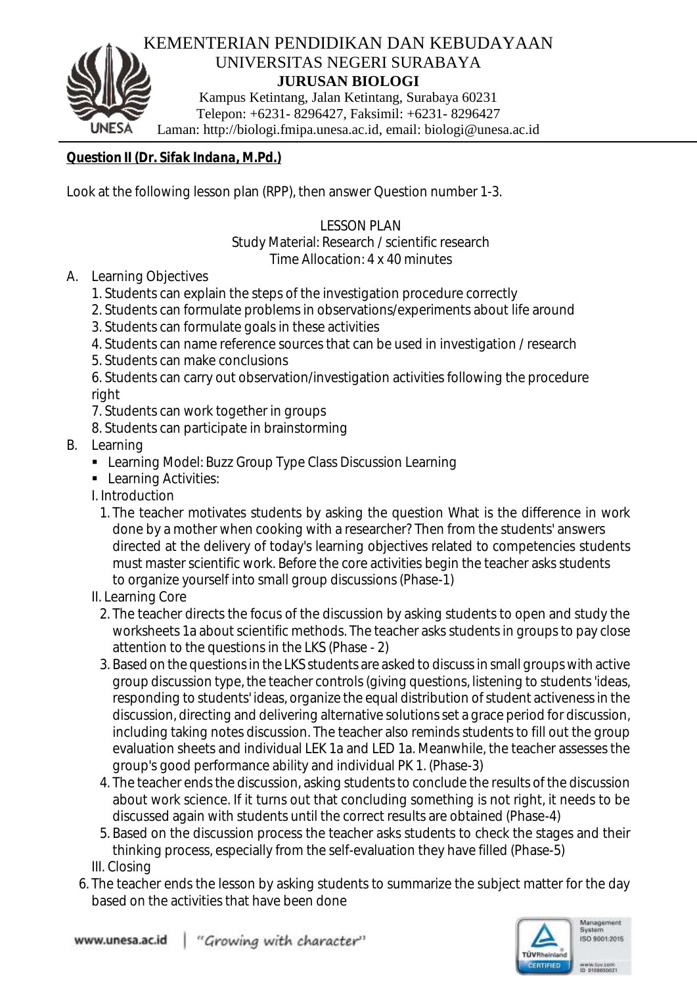

*Question II (Dr. Sifak Indana, M.Pd.)*

Look at the following lesson plan (RPP), then answer Question number 1-3.

LESSON PLAN

Study Material: Research / scientific research

Time Allocation: 4 x 40 minutes

- A. Learning Objectives
	- 1. Students can explain the steps of the investigation procedure correctly
	- 2. Students can formulate problems in observations/experiments about life around
	- 3. Students can formulate goals in these activities
	- 4. Students can name reference sources that can be used in investigation / research
	- 5. Students can make conclusions

6. Students can carry out observation/investigation activities following the procedure right

- 7. Students can work together in groups
- 8. Students can participate in brainstorming
- B. Learning
	- Learning Model: Buzz Group Type Class Discussion Learning
	- **Learning Activities:**
	- I. Introduction
		- 1. The teacher motivates students by asking the question What is the difference in work done by a mother when cooking with a researcher? Then from the students' answers directed at the delivery of today's learning objectives related to competencies students must master scientific work. Before the core activities begin the teacher asks students to organize yourself into small group discussions (Phase-1)
	- II. Learning Core
	- 2. The teacher directs the focus of the discussion by asking students to open and study the worksheets 1a about scientific methods. The teacher asks students in groups to pay close attention to the questions in the LKS (Phase - 2)
	- 3. Based on the questions in the LKS students are asked to discussin small groups with active group discussion type, the teacher controls (giving questions, listening to students 'ideas, responding to students' ideas, organize the equal distribution of student activeness in the discussion, directing and delivering alternative solutions set a grace period for discussion, including taking notes discussion. The teacher also reminds students to fill out the group evaluation sheets and individual LEK 1a and LED 1a. Meanwhile, the teacher assesses the group's good performance ability and individual PK 1. (Phase-3)
	- 4. The teacher ends the discussion, asking students to conclude the results of the discussion about work science. If it turns out that concluding something is not right, it needs to be discussed again with students until the correct results are obtained (Phase-4)
	- 5. Based on the discussion process the teacher asks students to check the stages and their thinking process, especially from the self-evaluation they have filled (Phase-5) III. Closing
	- 6. The teacher ends the lesson by asking students to summarize the subject matter for the day based on the activities that have been done

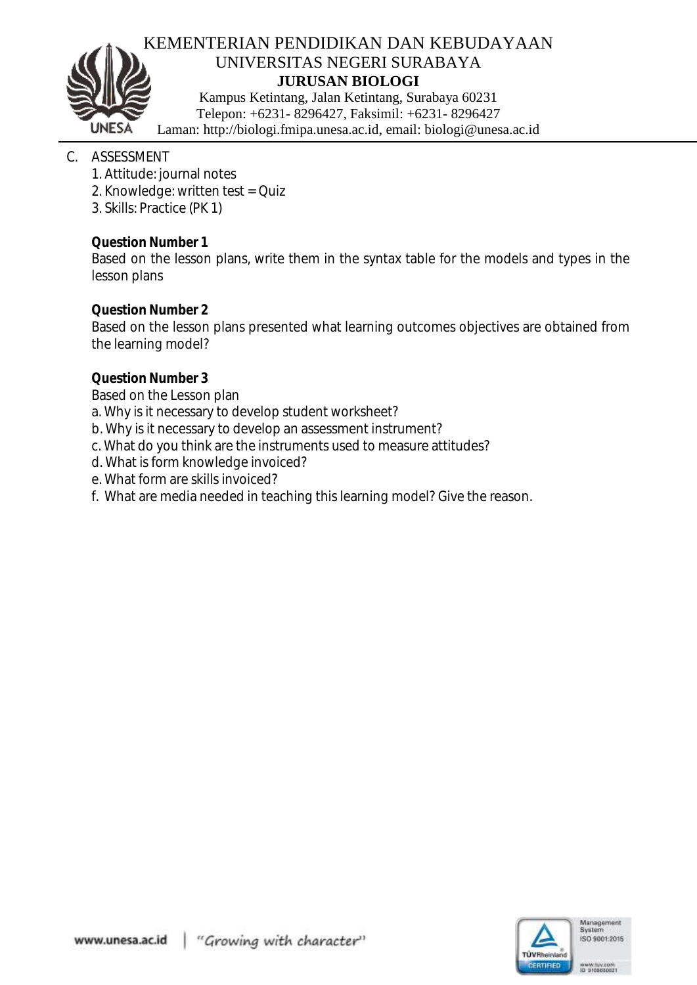

## KEMENTERIAN PENDIDIKAN DAN KEBUDAYAAN UNIVERSITAS NEGERI SURABAYA **JURUSAN BIOLOGI**

Kampus Ketintang, Jalan Ketintang, Surabaya 60231 Telepon: +6231- 8296427, Faksimil: +6231- 8296427 Laman: http://biologi.fmipa.unesa.ac.id, email: [biologi@unesa.ac.id](mailto:biologi@unesa.ac.id)

# C. ASSESSMENT

- 1. Attitude: journal notes
- 2. Knowledge: written test = Quiz
- 3. Skills: Practice (PK 1)

*Question Number 1*

Based on the lesson plans, write them in the syntax table for the models and types in the lesson plans

*Question Number 2*

Based on the lesson plans presented what learning outcomes objectives are obtained from the learning model?

# *Question Number 3*

Based on the Lesson plan

a. Why is it necessary to develop student worksheet?

b. Why is it necessary to develop an assessment instrument?

- c. What do you think are the instruments used to measure attitudes?
- d. What is form knowledge invoiced?
- e. What form are skills invoiced?
- f. What are media needed in teaching this learning model? Give the reason.